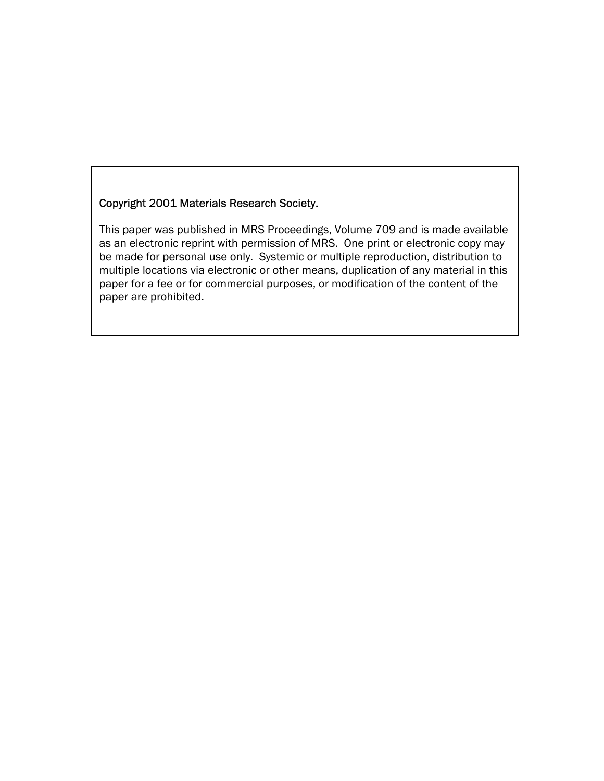# Copyright 2001 Materials Research Society.

This paper was published in MRS Proceedings, Volume 709 and is made available as an electronic reprint with permission of MRS. One print or electronic copy may be made for personal use only. Systemic or multiple reproduction, distribution to multiple locations via electronic or other means, duplication of any material in this paper for a fee or for commercial purposes, or modification of the content of the paper are prohibited.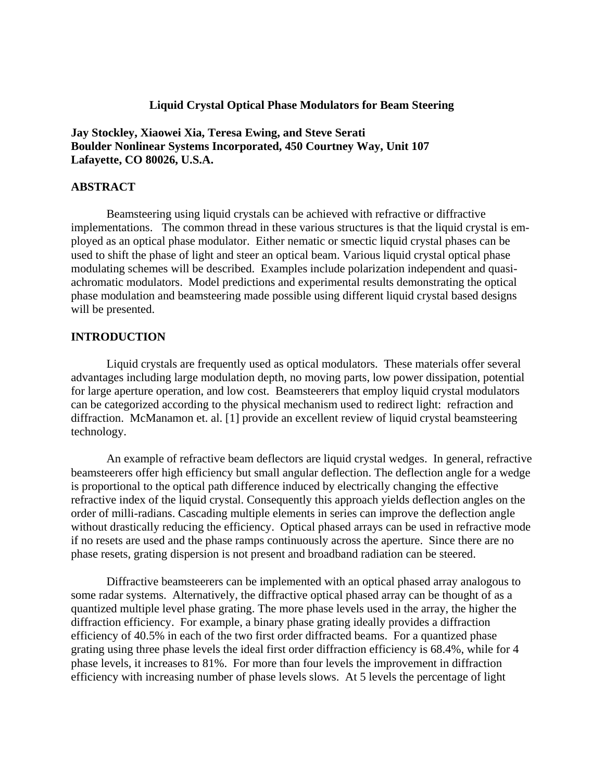# **Liquid Crystal Optical Phase Modulators for Beam Steering**

**Jay Stockley, Xiaowei Xia, Teresa Ewing, and Steve Serati Boulder Nonlinear Systems Incorporated, 450 Courtney Way, Unit 107 Lafayette, CO 80026, U.S.A.** 

# **ABSTRACT**

Beamsteering using liquid crystals can be achieved with refractive or diffractive implementations. The common thread in these various structures is that the liquid crystal is employed as an optical phase modulator. Either nematic or smectic liquid crystal phases can be used to shift the phase of light and steer an optical beam. Various liquid crystal optical phase modulating schemes will be described. Examples include polarization independent and quasiachromatic modulators. Model predictions and experimental results demonstrating the optical phase modulation and beamsteering made possible using different liquid crystal based designs will be presented.

# **INTRODUCTION**

Liquid crystals are frequently used as optical modulators. These materials offer several advantages including large modulation depth, no moving parts, low power dissipation, potential for large aperture operation, and low cost. Beamsteerers that employ liquid crystal modulators can be categorized according to the physical mechanism used to redirect light: refraction and diffraction. McManamon et. al. [1] provide an excellent review of liquid crystal beamsteering technology.

An example of refractive beam deflectors are liquid crystal wedges. In general, refractive beamsteerers offer high efficiency but small angular deflection. The deflection angle for a wedge is proportional to the optical path difference induced by electrically changing the effective refractive index of the liquid crystal. Consequently this approach yields deflection angles on the order of milli-radians. Cascading multiple elements in series can improve the deflection angle without drastically reducing the efficiency. Optical phased arrays can be used in refractive mode if no resets are used and the phase ramps continuously across the aperture. Since there are no phase resets, grating dispersion is not present and broadband radiation can be steered.

Diffractive beamsteerers can be implemented with an optical phased array analogous to some radar systems. Alternatively, the diffractive optical phased array can be thought of as a quantized multiple level phase grating. The more phase levels used in the array, the higher the diffraction efficiency. For example, a binary phase grating ideally provides a diffraction efficiency of 40.5% in each of the two first order diffracted beams. For a quantized phase grating using three phase levels the ideal first order diffraction efficiency is 68.4%, while for 4 phase levels, it increases to 81%. For more than four levels the improvement in diffraction efficiency with increasing number of phase levels slows. At 5 levels the percentage of light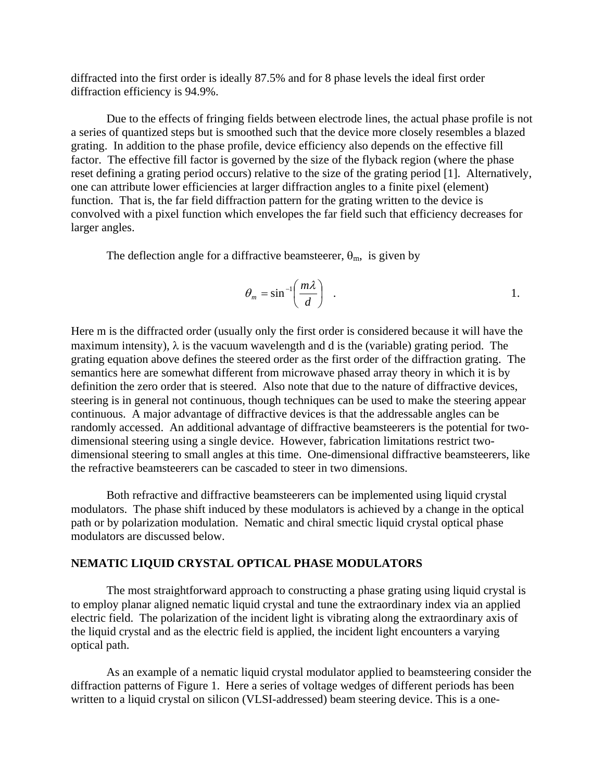diffracted into the first order is ideally 87.5% and for 8 phase levels the ideal first order diffraction efficiency is 94.9%.

Due to the effects of fringing fields between electrode lines, the actual phase profile is not a series of quantized steps but is smoothed such that the device more closely resembles a blazed grating. In addition to the phase profile, device efficiency also depends on the effective fill factor. The effective fill factor is governed by the size of the flyback region (where the phase reset defining a grating period occurs) relative to the size of the grating period [1]. Alternatively, one can attribute lower efficiencies at larger diffraction angles to a finite pixel (element) function. That is, the far field diffraction pattern for the grating written to the device is convolved with a pixel function which envelopes the far field such that efficiency decreases for larger angles.

The deflection angle for a diffractive beamsteerer,  $\theta_{m}$ , is given by

$$
\theta_m = \sin^{-1}\left(\frac{m\lambda}{d}\right) \quad .
$$

Here m is the diffracted order (usually only the first order is considered because it will have the maximum intensity),  $\lambda$  is the vacuum wavelength and d is the (variable) grating period. The grating equation above defines the steered order as the first order of the diffraction grating. The semantics here are somewhat different from microwave phased array theory in which it is by definition the zero order that is steered. Also note that due to the nature of diffractive devices, steering is in general not continuous, though techniques can be used to make the steering appear continuous. A major advantage of diffractive devices is that the addressable angles can be randomly accessed. An additional advantage of diffractive beamsteerers is the potential for twodimensional steering using a single device. However, fabrication limitations restrict twodimensional steering to small angles at this time. One-dimensional diffractive beamsteerers, like the refractive beamsteerers can be cascaded to steer in two dimensions.

 Both refractive and diffractive beamsteerers can be implemented using liquid crystal modulators. The phase shift induced by these modulators is achieved by a change in the optical path or by polarization modulation. Nematic and chiral smectic liquid crystal optical phase modulators are discussed below.

#### **NEMATIC LIQUID CRYSTAL OPTICAL PHASE MODULATORS**

The most straightforward approach to constructing a phase grating using liquid crystal is to employ planar aligned nematic liquid crystal and tune the extraordinary index via an applied electric field. The polarization of the incident light is vibrating along the extraordinary axis of the liquid crystal and as the electric field is applied, the incident light encounters a varying optical path.

As an example of a nematic liquid crystal modulator applied to beamsteering consider the diffraction patterns of Figure 1. Here a series of voltage wedges of different periods has been written to a liquid crystal on silicon (VLSI-addressed) beam steering device. This is a one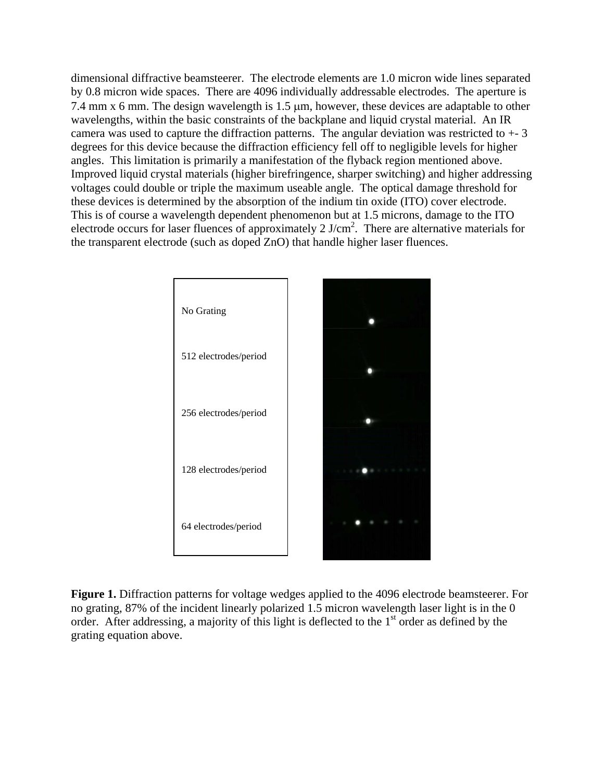dimensional diffractive beamsteerer. The electrode elements are 1.0 micron wide lines separated by 0.8 micron wide spaces. There are 4096 individually addressable electrodes. The aperture is 7.4 mm x 6 mm. The design wavelength is 1.5 µm, however, these devices are adaptable to other wavelengths, within the basic constraints of the backplane and liquid crystal material. An IR camera was used to capture the diffraction patterns. The angular deviation was restricted to  $+3$ degrees for this device because the diffraction efficiency fell off to negligible levels for higher angles. This limitation is primarily a manifestation of the flyback region mentioned above. Improved liquid crystal materials (higher birefringence, sharper switching) and higher addressing voltages could double or triple the maximum useable angle. The optical damage threshold for these devices is determined by the absorption of the indium tin oxide (ITO) cover electrode. This is of course a wavelength dependent phenomenon but at 1.5 microns, damage to the ITO electrode occurs for laser fluences of approximately  $2 \text{ J/cm}^2$ . There are alternative materials for the transparent electrode (such as doped ZnO) that handle higher laser fluences.



**Figure 1.** Diffraction patterns for voltage wedges applied to the 4096 electrode beamsteerer. For no grating, 87% of the incident linearly polarized 1.5 micron wavelength laser light is in the 0 order. After addressing, a majority of this light is deflected to the 1<sup>st</sup> order as defined by the grating equation above.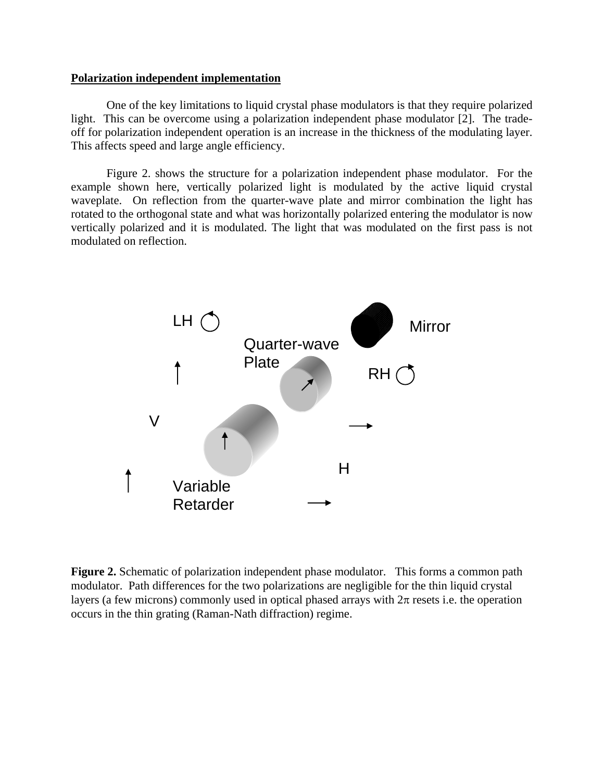#### **Polarization independent implementation**

One of the key limitations to liquid crystal phase modulators is that they require polarized light. This can be overcome using a polarization independent phase modulator [2]. The tradeoff for polarization independent operation is an increase in the thickness of the modulating layer. This affects speed and large angle efficiency.

Figure 2. shows the structure for a polarization independent phase modulator. For the example shown here, vertically polarized light is modulated by the active liquid crystal waveplate. On reflection from the quarter-wave plate and mirror combination the light has rotated to the orthogonal state and what was horizontally polarized entering the modulator is now vertically polarized and it is modulated. The light that was modulated on the first pass is not modulated on reflection.



**Figure 2.** Schematic of polarization independent phase modulator. This forms a common path modulator. Path differences for the two polarizations are negligible for the thin liquid crystal layers (a few microns) commonly used in optical phased arrays with  $2\pi$  resets i.e. the operation occurs in the thin grating (Raman-Nath diffraction) regime.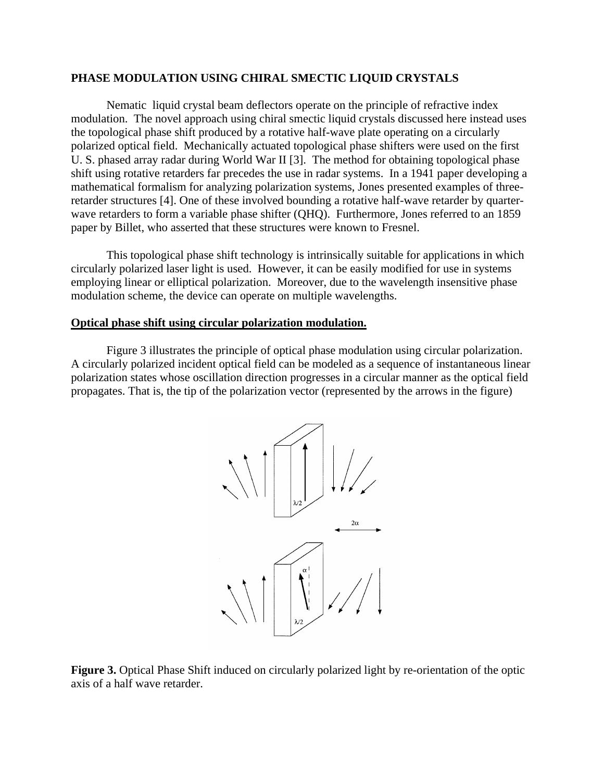# **PHASE MODULATION USING CHIRAL SMECTIC LIQUID CRYSTALS**

Nematic liquid crystal beam deflectors operate on the principle of refractive index modulation. The novel approach using chiral smectic liquid crystals discussed here instead uses the topological phase shift produced by a rotative half-wave plate operating on a circularly polarized optical field. Mechanically actuated topological phase shifters were used on the first U. S. phased array radar during World War II [3]. The method for obtaining topological phase shift using rotative retarders far precedes the use in radar systems. In a 1941 paper developing a mathematical formalism for analyzing polarization systems, Jones presented examples of threeretarder structures [4]. One of these involved bounding a rotative half-wave retarder by quarterwave retarders to form a variable phase shifter (QHQ). Furthermore, Jones referred to an 1859 paper by Billet, who asserted that these structures were known to Fresnel.

This topological phase shift technology is intrinsically suitable for applications in which circularly polarized laser light is used. However, it can be easily modified for use in systems employing linear or elliptical polarization. Moreover, due to the wavelength insensitive phase modulation scheme, the device can operate on multiple wavelengths.

#### **Optical phase shift using circular polarization modulation.**

Figure 3 illustrates the principle of optical phase modulation using circular polarization. A circularly polarized incident optical field can be modeled as a sequence of instantaneous linear polarization states whose oscillation direction progresses in a circular manner as the optical field propagates. That is, the tip of the polarization vector (represented by the arrows in the figure)



**Figure 3.** Optical Phase Shift induced on circularly polarized light by re-orientation of the optic axis of a half wave retarder.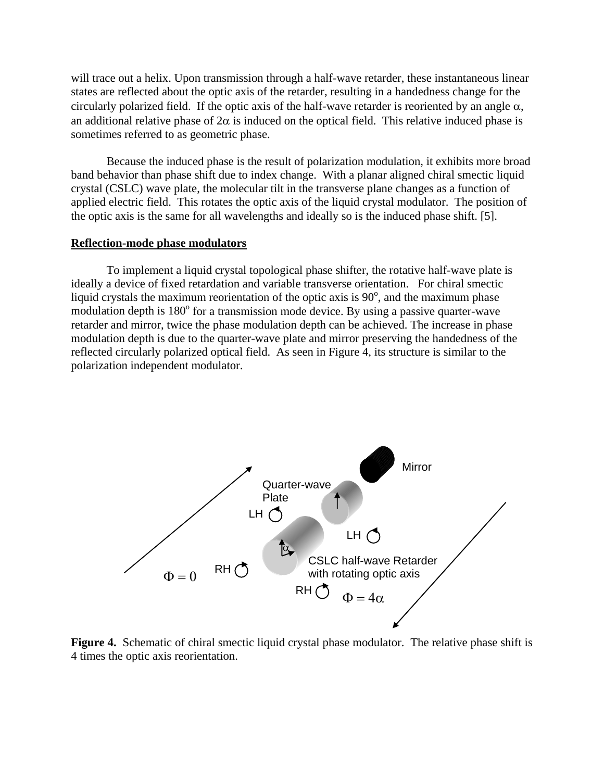will trace out a helix. Upon transmission through a half-wave retarder, these instantaneous linear states are reflected about the optic axis of the retarder, resulting in a handedness change for the circularly polarized field. If the optic axis of the half-wave retarder is reoriented by an angle  $\alpha$ , an additional relative phase of  $2\alpha$  is induced on the optical field. This relative induced phase is sometimes referred to as geometric phase.

Because the induced phase is the result of polarization modulation, it exhibits more broad band behavior than phase shift due to index change. With a planar aligned chiral smectic liquid crystal (CSLC) wave plate, the molecular tilt in the transverse plane changes as a function of applied electric field. This rotates the optic axis of the liquid crystal modulator. The position of the optic axis is the same for all wavelengths and ideally so is the induced phase shift. [5].

### **Reflection-mode phase modulators**

To implement a liquid crystal topological phase shifter, the rotative half-wave plate is ideally a device of fixed retardation and variable transverse orientation. For chiral smectic liquid crystals the maximum reorientation of the optic axis is  $90^\circ$ , and the maximum phase modulation depth is 180° for a transmission mode device. By using a passive quarter-wave retarder and mirror, twice the phase modulation depth can be achieved. The increase in phase modulation depth is due to the quarter-wave plate and mirror preserving the handedness of the reflected circularly polarized optical field. As seen in Figure 4, its structure is similar to the polarization independent modulator.



**Figure 4.** Schematic of chiral smectic liquid crystal phase modulator. The relative phase shift is 4 times the optic axis reorientation.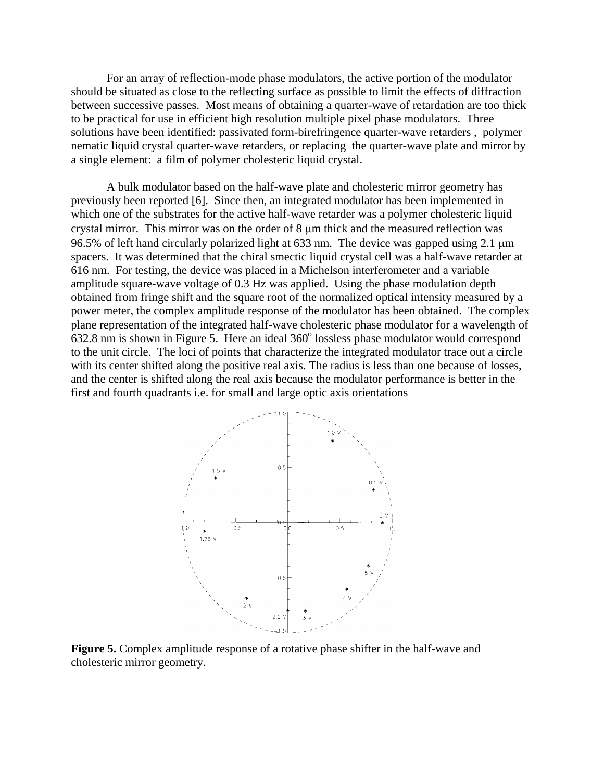For an array of reflection-mode phase modulators, the active portion of the modulator should be situated as close to the reflecting surface as possible to limit the effects of diffraction between successive passes. Most means of obtaining a quarter-wave of retardation are too thick to be practical for use in efficient high resolution multiple pixel phase modulators. Three solutions have been identified: passivated form-birefringence quarter-wave retarders , polymer nematic liquid crystal quarter-wave retarders, or replacing the quarter-wave plate and mirror by a single element: a film of polymer cholesteric liquid crystal.

A bulk modulator based on the half-wave plate and cholesteric mirror geometry has previously been reported [6]. Since then, an integrated modulator has been implemented in which one of the substrates for the active half-wave retarder was a polymer cholesteric liquid crystal mirror. This mirror was on the order of 8 µm thick and the measured reflection was 96.5% of left hand circularly polarized light at 633 nm. The device was gapped using 2.1 µm spacers. It was determined that the chiral smectic liquid crystal cell was a half-wave retarder at 616 nm. For testing, the device was placed in a Michelson interferometer and a variable amplitude square-wave voltage of 0.3 Hz was applied. Using the phase modulation depth obtained from fringe shift and the square root of the normalized optical intensity measured by a power meter, the complex amplitude response of the modulator has been obtained. The complex plane representation of the integrated half-wave cholesteric phase modulator for a wavelength of  $632.8$  nm is shown in Figure 5. Here an ideal  $360^\circ$  lossless phase modulator would correspond to the unit circle. The loci of points that characterize the integrated modulator trace out a circle with its center shifted along the positive real axis. The radius is less than one because of losses, and the center is shifted along the real axis because the modulator performance is better in the first and fourth quadrants i.e. for small and large optic axis orientations



**Figure 5.** Complex amplitude response of a rotative phase shifter in the half-wave and cholesteric mirror geometry.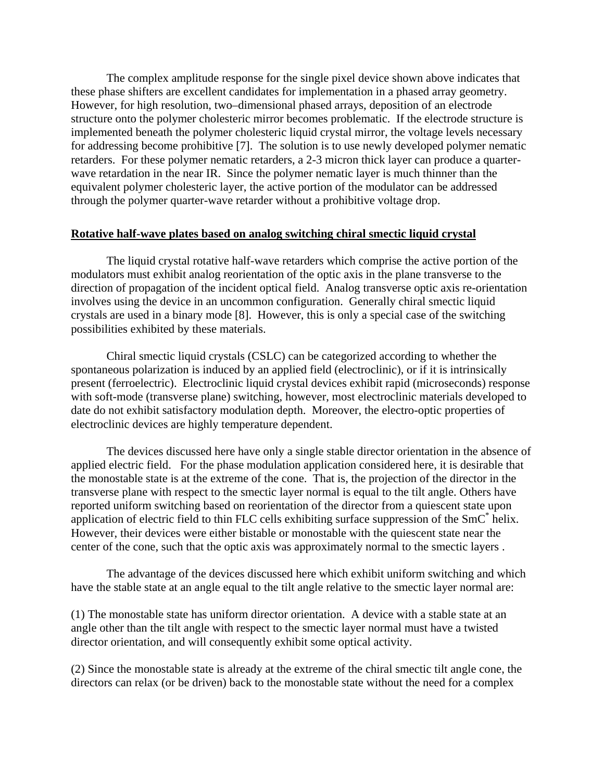The complex amplitude response for the single pixel device shown above indicates that these phase shifters are excellent candidates for implementation in a phased array geometry. However, for high resolution, two–dimensional phased arrays, deposition of an electrode structure onto the polymer cholesteric mirror becomes problematic. If the electrode structure is implemented beneath the polymer cholesteric liquid crystal mirror, the voltage levels necessary for addressing become prohibitive [7]. The solution is to use newly developed polymer nematic retarders. For these polymer nematic retarders, a 2-3 micron thick layer can produce a quarterwave retardation in the near IR. Since the polymer nematic layer is much thinner than the equivalent polymer cholesteric layer, the active portion of the modulator can be addressed through the polymer quarter-wave retarder without a prohibitive voltage drop.

# **Rotative half-wave plates based on analog switching chiral smectic liquid crystal**

The liquid crystal rotative half-wave retarders which comprise the active portion of the modulators must exhibit analog reorientation of the optic axis in the plane transverse to the direction of propagation of the incident optical field. Analog transverse optic axis re-orientation involves using the device in an uncommon configuration. Generally chiral smectic liquid crystals are used in a binary mode [8]. However, this is only a special case of the switching possibilities exhibited by these materials.

Chiral smectic liquid crystals (CSLC) can be categorized according to whether the spontaneous polarization is induced by an applied field (electroclinic), or if it is intrinsically present (ferroelectric). Electroclinic liquid crystal devices exhibit rapid (microseconds) response with soft-mode (transverse plane) switching, however, most electroclinic materials developed to date do not exhibit satisfactory modulation depth. Moreover, the electro-optic properties of electroclinic devices are highly temperature dependent.

The devices discussed here have only a single stable director orientation in the absence of applied electric field. For the phase modulation application considered here, it is desirable that the monostable state is at the extreme of the cone. That is, the projection of the director in the transverse plane with respect to the smectic layer normal is equal to the tilt angle. Others have reported uniform switching based on reorientation of the director from a quiescent state upon application of electric field to thin FLC cells exhibiting surface suppression of the SmC<sup>\*</sup> helix. However, their devices were either bistable or monostable with the quiescent state near the center of the cone, such that the optic axis was approximately normal to the smectic layers .

The advantage of the devices discussed here which exhibit uniform switching and which have the stable state at an angle equal to the tilt angle relative to the smectic layer normal are:

(1) The monostable state has uniform director orientation. A device with a stable state at an angle other than the tilt angle with respect to the smectic layer normal must have a twisted director orientation, and will consequently exhibit some optical activity.

(2) Since the monostable state is already at the extreme of the chiral smectic tilt angle cone, the directors can relax (or be driven) back to the monostable state without the need for a complex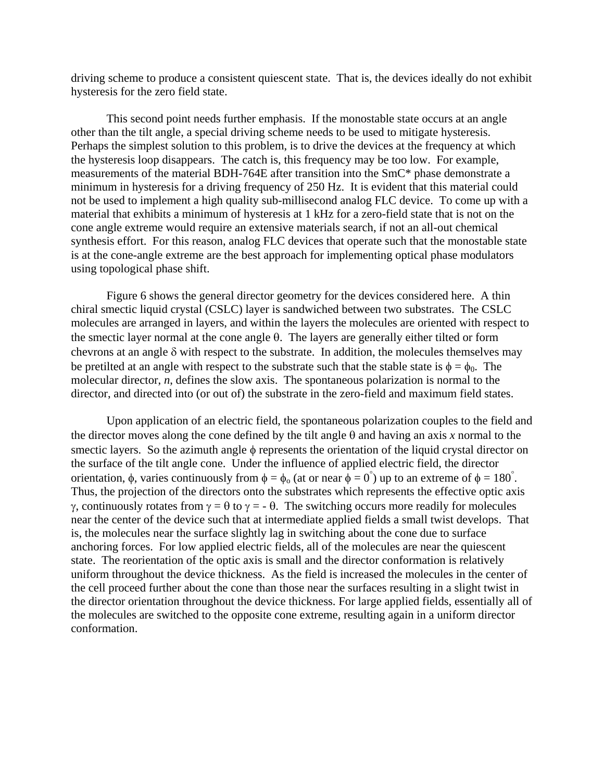driving scheme to produce a consistent quiescent state. That is, the devices ideally do not exhibit hysteresis for the zero field state.

This second point needs further emphasis. If the monostable state occurs at an angle other than the tilt angle, a special driving scheme needs to be used to mitigate hysteresis. Perhaps the simplest solution to this problem, is to drive the devices at the frequency at which the hysteresis loop disappears. The catch is, this frequency may be too low. For example, measurements of the material BDH-764E after transition into the SmC\* phase demonstrate a minimum in hysteresis for a driving frequency of 250 Hz. It is evident that this material could not be used to implement a high quality sub-millisecond analog FLC device. To come up with a material that exhibits a minimum of hysteresis at 1 kHz for a zero-field state that is not on the cone angle extreme would require an extensive materials search, if not an all-out chemical synthesis effort. For this reason, analog FLC devices that operate such that the monostable state is at the cone-angle extreme are the best approach for implementing optical phase modulators using topological phase shift.

Figure 6 shows the general director geometry for the devices considered here. A thin chiral smectic liquid crystal (CSLC) layer is sandwiched between two substrates. The CSLC molecules are arranged in layers, and within the layers the molecules are oriented with respect to the smectic layer normal at the cone angle θ. The layers are generally either tilted or form chevrons at an angle  $\delta$  with respect to the substrate. In addition, the molecules themselves may be pretilted at an angle with respect to the substrate such that the stable state is  $\phi = \phi_0$ . The molecular director, *n*, defines the slow axis. The spontaneous polarization is normal to the director, and directed into (or out of) the substrate in the zero-field and maximum field states.

Upon application of an electric field, the spontaneous polarization couples to the field and the director moves along the cone defined by the tilt angle θ and having an axis *x* normal to the smectic layers. So the azimuth angle  $\phi$  represents the orientation of the liquid crystal director on the surface of the tilt angle cone. Under the influence of applied electric field, the director orientation, φ, varies continuously from  $\phi = \phi_0$  (at or near  $\phi = 0^{\degree}$ ) up to an extreme of  $\phi = 180^{\degree}$ . Thus, the projection of the directors onto the substrates which represents the effective optic axis γ, continuously rotates from  $\gamma = \theta$  to  $\gamma = -\theta$ . The switching occurs more readily for molecules near the center of the device such that at intermediate applied fields a small twist develops. That is, the molecules near the surface slightly lag in switching about the cone due to surface anchoring forces. For low applied electric fields, all of the molecules are near the quiescent state. The reorientation of the optic axis is small and the director conformation is relatively uniform throughout the device thickness. As the field is increased the molecules in the center of the cell proceed further about the cone than those near the surfaces resulting in a slight twist in the director orientation throughout the device thickness. For large applied fields, essentially all of the molecules are switched to the opposite cone extreme, resulting again in a uniform director conformation.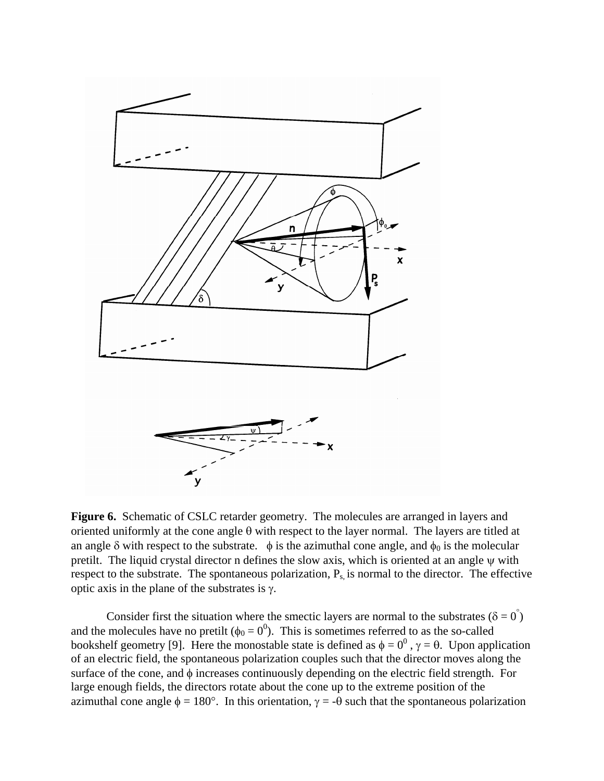

**Figure 6.** Schematic of CSLC retarder geometry. The molecules are arranged in layers and oriented uniformly at the cone angle θ with respect to the layer normal. The layers are titled at an angle  $\delta$  with respect to the substrate.  $\phi$  is the azimuthal cone angle, and  $\phi_0$  is the molecular pretilt. The liquid crystal director n defines the slow axis, which is oriented at an angle ψ with respect to the substrate. The spontaneous polarization,  $P_s$  is normal to the director. The effective optic axis in the plane of the substrates is γ.

Consider first the situation where the smectic layers are normal to the substrates ( $\delta = 0^{\degree}$ ) and the molecules have no pretilt ( $\phi_0 = 0^0$ ). This is sometimes referred to as the so-called bookshelf geometry [9]. Here the monostable state is defined as  $\phi = 0^0$ ,  $\gamma = \theta$ . Upon application of an electric field, the spontaneous polarization couples such that the director moves along the surface of the cone, and φ increases continuously depending on the electric field strength. For large enough fields, the directors rotate about the cone up to the extreme position of the azimuthal cone angle  $\phi = 180^\circ$ . In this orientation,  $\gamma = -\theta$  such that the spontaneous polarization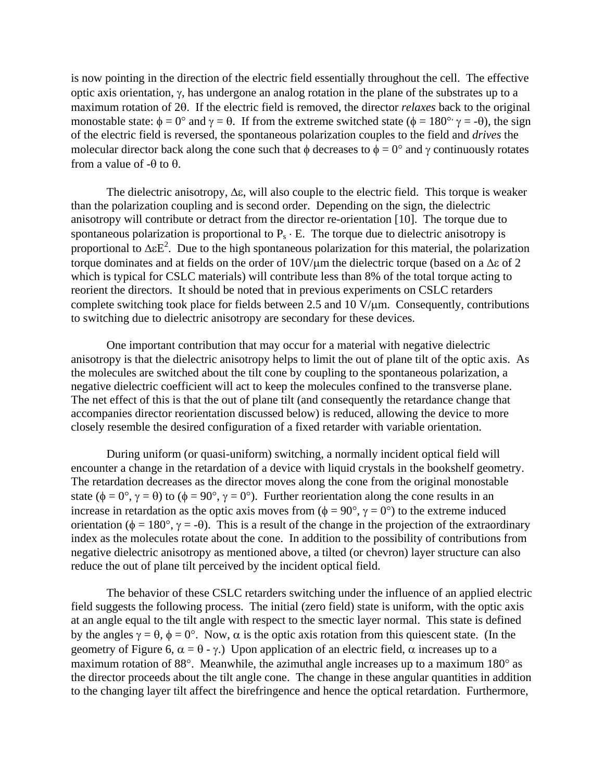is now pointing in the direction of the electric field essentially throughout the cell. The effective optic axis orientation, γ, has undergone an analog rotation in the plane of the substrates up to a maximum rotation of 2θ. If the electric field is removed, the director *relaxes* back to the original monostable state:  $\phi = 0^{\circ}$  and  $\gamma = \theta$ . If from the extreme switched state ( $\phi = 180^{\circ}$ ;  $\gamma = -\theta$ ), the sign of the electric field is reversed, the spontaneous polarization couples to the field and *drives* the molecular director back along the cone such that  $\phi$  decreases to  $\phi = 0^{\circ}$  and  $\gamma$  continuously rotates from a value of -θ to θ.

The dielectric anisotropy,  $\Delta \varepsilon$ , will also couple to the electric field. This torque is weaker than the polarization coupling and is second order. Depending on the sign, the dielectric anisotropy will contribute or detract from the director re-orientation [10]. The torque due to spontaneous polarization is proportional to  $P_s \cdot E$ . The torque due to dielectric anisotropy is proportional to  $\Delta \epsilon E^2$ . Due to the high spontaneous polarization for this material, the polarization torque dominates and at fields on the order of  $10V/\mu m$  the dielectric torque (based on a Δε of 2 which is typical for CSLC materials) will contribute less than 8% of the total torque acting to reorient the directors. It should be noted that in previous experiments on CSLC retarders complete switching took place for fields between 2.5 and 10  $V/\mu$ m. Consequently, contributions to switching due to dielectric anisotropy are secondary for these devices.

One important contribution that may occur for a material with negative dielectric anisotropy is that the dielectric anisotropy helps to limit the out of plane tilt of the optic axis. As the molecules are switched about the tilt cone by coupling to the spontaneous polarization, a negative dielectric coefficient will act to keep the molecules confined to the transverse plane. The net effect of this is that the out of plane tilt (and consequently the retardance change that accompanies director reorientation discussed below) is reduced, allowing the device to more closely resemble the desired configuration of a fixed retarder with variable orientation.

During uniform (or quasi-uniform) switching, a normally incident optical field will encounter a change in the retardation of a device with liquid crystals in the bookshelf geometry. The retardation decreases as the director moves along the cone from the original monostable state ( $\phi = 0^{\circ}$ ,  $\gamma = \theta$ ) to ( $\phi = 90^{\circ}$ ,  $\gamma = 0^{\circ}$ ). Further reorientation along the cone results in an increase in retardation as the optic axis moves from ( $\phi = 90^{\circ}$ ,  $\gamma = 0^{\circ}$ ) to the extreme induced orientation ( $\phi = 180^{\circ}$ ,  $\gamma = -\theta$ ). This is a result of the change in the projection of the extraordinary index as the molecules rotate about the cone. In addition to the possibility of contributions from negative dielectric anisotropy as mentioned above, a tilted (or chevron) layer structure can also reduce the out of plane tilt perceived by the incident optical field.

The behavior of these CSLC retarders switching under the influence of an applied electric field suggests the following process. The initial (zero field) state is uniform, with the optic axis at an angle equal to the tilt angle with respect to the smectic layer normal. This state is defined by the angles  $\gamma = \theta$ ,  $\phi = 0^{\circ}$ . Now,  $\alpha$  is the optic axis rotation from this quiescent state. (In the geometry of Figure 6,  $\alpha = \theta - \gamma$ .) Upon application of an electric field,  $\alpha$  increases up to a maximum rotation of 88°. Meanwhile, the azimuthal angle increases up to a maximum 180° as the director proceeds about the tilt angle cone. The change in these angular quantities in addition to the changing layer tilt affect the birefringence and hence the optical retardation. Furthermore,